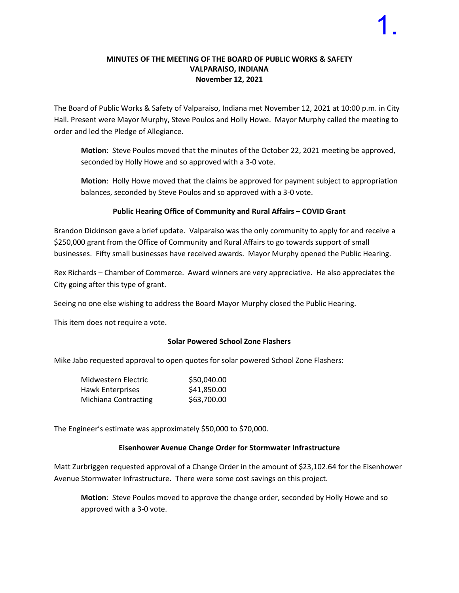## **MINUTES OF THE MEETING OF THE BOARD OF PUBLIC WORKS & SAFETY VALPARAISO, INDIANA November 12, 2021**

The Board of Public Works & Safety of Valparaiso, Indiana met November 12, 2021 at 10:00 p.m. in City Hall. Present were Mayor Murphy, Steve Poulos and Holly Howe. Mayor Murphy called the meeting to order and led the Pledge of Allegiance.

**Motion**: Steve Poulos moved that the minutes of the October 22, 2021 meeting be approved, seconded by Holly Howe and so approved with a 3-0 vote.

**Motion**: Holly Howe moved that the claims be approved for payment subject to appropriation balances, seconded by Steve Poulos and so approved with a 3-0 vote.

## **Public Hearing Office of Community and Rural Affairs – COVID Grant**

Brandon Dickinson gave a brief update. Valparaiso was the only community to apply for and receive a \$250,000 grant from the Office of Community and Rural Affairs to go towards support of small businesses. Fifty small businesses have received awards. Mayor Murphy opened the Public Hearing.

Rex Richards – Chamber of Commerce. Award winners are very appreciative. He also appreciates the City going after this type of grant.

Seeing no one else wishing to address the Board Mayor Murphy closed the Public Hearing.

This item does not require a vote.

## **Solar Powered School Zone Flashers**

Mike Jabo requested approval to open quotes for solar powered School Zone Flashers:

| Midwestern Electric  | \$50,040.00 |
|----------------------|-------------|
| Hawk Enterprises     | \$41,850.00 |
| Michiana Contracting | \$63,700.00 |

The Engineer's estimate was approximately \$50,000 to \$70,000.

## **Eisenhower Avenue Change Order for Stormwater Infrastructure**

Matt Zurbriggen requested approval of a Change Order in the amount of \$23,102.64 for the Eisenhower Avenue Stormwater Infrastructure. There were some cost savings on this project.

**Motion**: Steve Poulos moved to approve the change order, seconded by Holly Howe and so approved with a 3-0 vote.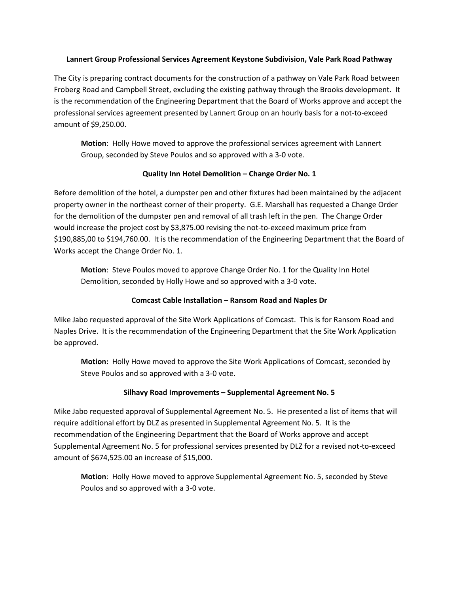## **Lannert Group Professional Services Agreement Keystone Subdivision, Vale Park Road Pathway**

The City is preparing contract documents for the construction of a pathway on Vale Park Road between Froberg Road and Campbell Street, excluding the existing pathway through the Brooks development. It is the recommendation of the Engineering Department that the Board of Works approve and accept the professional services agreement presented by Lannert Group on an hourly basis for a not-to-exceed amount of \$9,250.00.

**Motion**: Holly Howe moved to approve the professional services agreement with Lannert Group, seconded by Steve Poulos and so approved with a 3-0 vote.

# **Quality Inn Hotel Demolition – Change Order No. 1**

Before demolition of the hotel, a dumpster pen and other fixtures had been maintained by the adjacent property owner in the northeast corner of their property. G.E. Marshall has requested a Change Order for the demolition of the dumpster pen and removal of all trash left in the pen. The Change Order would increase the project cost by \$3,875.00 revising the not-to-exceed maximum price from \$190,885,00 to \$194,760.00. It is the recommendation of the Engineering Department that the Board of Works accept the Change Order No. 1.

**Motion**: Steve Poulos moved to approve Change Order No. 1 for the Quality Inn Hotel Demolition, seconded by Holly Howe and so approved with a 3-0 vote.

# **Comcast Cable Installation – Ransom Road and Naples Dr**

Mike Jabo requested approval of the Site Work Applications of Comcast. This is for Ransom Road and Naples Drive. It is the recommendation of the Engineering Department that the Site Work Application be approved.

**Motion:** Holly Howe moved to approve the Site Work Applications of Comcast, seconded by Steve Poulos and so approved with a 3-0 vote.

# **Silhavy Road Improvements – Supplemental Agreement No. 5**

Mike Jabo requested approval of Supplemental Agreement No. 5. He presented a list of items that will require additional effort by DLZ as presented in Supplemental Agreement No. 5. It is the recommendation of the Engineering Department that the Board of Works approve and accept Supplemental Agreement No. 5 for professional services presented by DLZ for a revised not-to-exceed amount of \$674,525.00 an increase of \$15,000.

**Motion**: Holly Howe moved to approve Supplemental Agreement No. 5, seconded by Steve Poulos and so approved with a 3-0 vote.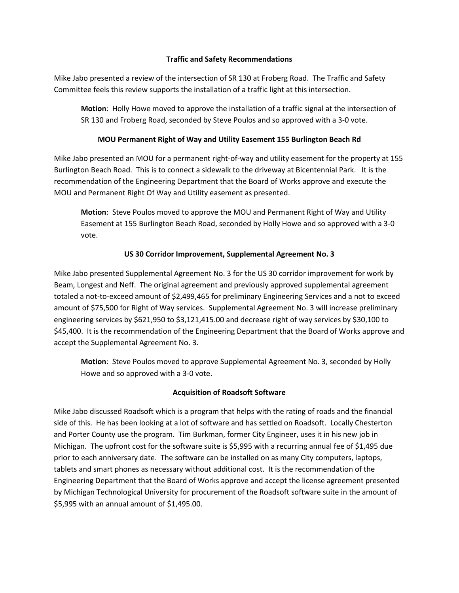## **Traffic and Safety Recommendations**

Mike Jabo presented a review of the intersection of SR 130 at Froberg Road. The Traffic and Safety Committee feels this review supports the installation of a traffic light at this intersection.

**Motion**: Holly Howe moved to approve the installation of a traffic signal at the intersection of SR 130 and Froberg Road, seconded by Steve Poulos and so approved with a 3-0 vote.

# **MOU Permanent Right of Way and Utility Easement 155 Burlington Beach Rd**

Mike Jabo presented an MOU for a permanent right-of-way and utility easement for the property at 155 Burlington Beach Road. This is to connect a sidewalk to the driveway at Bicentennial Park. It is the recommendation of the Engineering Department that the Board of Works approve and execute the MOU and Permanent Right Of Way and Utility easement as presented.

**Motion**: Steve Poulos moved to approve the MOU and Permanent Right of Way and Utility Easement at 155 Burlington Beach Road, seconded by Holly Howe and so approved with a 3-0 vote.

## **US 30 Corridor Improvement, Supplemental Agreement No. 3**

Mike Jabo presented Supplemental Agreement No. 3 for the US 30 corridor improvement for work by Beam, Longest and Neff. The original agreement and previously approved supplemental agreement totaled a not-to-exceed amount of \$2,499,465 for preliminary Engineering Services and a not to exceed amount of \$75,500 for Right of Way services. Supplemental Agreement No. 3 will increase preliminary engineering services by \$621,950 to \$3,121,415.00 and decrease right of way services by \$30,100 to \$45,400. It is the recommendation of the Engineering Department that the Board of Works approve and accept the Supplemental Agreement No. 3.

**Motion**: Steve Poulos moved to approve Supplemental Agreement No. 3, seconded by Holly Howe and so approved with a 3-0 vote.

## **Acquisition of Roadsoft Software**

Mike Jabo discussed Roadsoft which is a program that helps with the rating of roads and the financial side of this. He has been looking at a lot of software and has settled on Roadsoft. Locally Chesterton and Porter County use the program. Tim Burkman, former City Engineer, uses it in his new job in Michigan. The upfront cost for the software suite is \$5,995 with a recurring annual fee of \$1,495 due prior to each anniversary date. The software can be installed on as many City computers, laptops, tablets and smart phones as necessary without additional cost. It is the recommendation of the Engineering Department that the Board of Works approve and accept the license agreement presented by Michigan Technological University for procurement of the Roadsoft software suite in the amount of \$5,995 with an annual amount of \$1,495.00.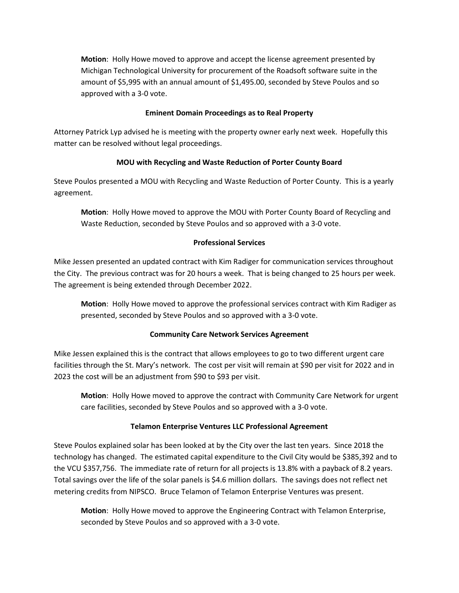**Motion**: Holly Howe moved to approve and accept the license agreement presented by Michigan Technological University for procurement of the Roadsoft software suite in the amount of \$5,995 with an annual amount of \$1,495.00, seconded by Steve Poulos and so approved with a 3-0 vote.

## **Eminent Domain Proceedings as to Real Property**

Attorney Patrick Lyp advised he is meeting with the property owner early next week. Hopefully this matter can be resolved without legal proceedings.

# **MOU with Recycling and Waste Reduction of Porter County Board**

Steve Poulos presented a MOU with Recycling and Waste Reduction of Porter County. This is a yearly agreement.

**Motion**: Holly Howe moved to approve the MOU with Porter County Board of Recycling and Waste Reduction, seconded by Steve Poulos and so approved with a 3-0 vote.

# **Professional Services**

Mike Jessen presented an updated contract with Kim Radiger for communication services throughout the City. The previous contract was for 20 hours a week. That is being changed to 25 hours per week. The agreement is being extended through December 2022.

**Motion**: Holly Howe moved to approve the professional services contract with Kim Radiger as presented, seconded by Steve Poulos and so approved with a 3-0 vote.

# **Community Care Network Services Agreement**

Mike Jessen explained this is the contract that allows employees to go to two different urgent care facilities through the St. Mary's network. The cost per visit will remain at \$90 per visit for 2022 and in 2023 the cost will be an adjustment from \$90 to \$93 per visit.

**Motion**: Holly Howe moved to approve the contract with Community Care Network for urgent care facilities, seconded by Steve Poulos and so approved with a 3-0 vote.

# **Telamon Enterprise Ventures LLC Professional Agreement**

Steve Poulos explained solar has been looked at by the City over the last ten years. Since 2018 the technology has changed. The estimated capital expenditure to the Civil City would be \$385,392 and to the VCU \$357,756. The immediate rate of return for all projects is 13.8% with a payback of 8.2 years. Total savings over the life of the solar panels is \$4.6 million dollars. The savings does not reflect net metering credits from NIPSCO. Bruce Telamon of Telamon Enterprise Ventures was present.

**Motion**: Holly Howe moved to approve the Engineering Contract with Telamon Enterprise, seconded by Steve Poulos and so approved with a 3-0 vote.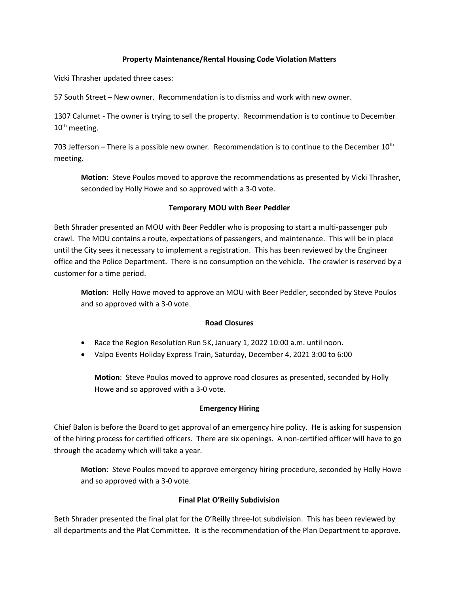## **Property Maintenance/Rental Housing Code Violation Matters**

Vicki Thrasher updated three cases:

57 South Street – New owner. Recommendation is to dismiss and work with new owner.

1307 Calumet - The owner is trying to sell the property. Recommendation is to continue to December 10<sup>th</sup> meeting.

703 Jefferson – There is a possible new owner. Recommendation is to continue to the December 10th meeting.

**Motion**: Steve Poulos moved to approve the recommendations as presented by Vicki Thrasher, seconded by Holly Howe and so approved with a 3-0 vote.

### **Temporary MOU with Beer Peddler**

Beth Shrader presented an MOU with Beer Peddler who is proposing to start a multi-passenger pub crawl. The MOU contains a route, expectations of passengers, and maintenance. This will be in place until the City sees it necessary to implement a registration. This has been reviewed by the Engineer office and the Police Department. There is no consumption on the vehicle. The crawler is reserved by a customer for a time period.

**Motion**: Holly Howe moved to approve an MOU with Beer Peddler, seconded by Steve Poulos and so approved with a 3-0 vote.

### **Road Closures**

- Race the Region Resolution Run 5K, January 1, 2022 10:00 a.m. until noon.
- Valpo Events Holiday Express Train, Saturday, December 4, 2021 3:00 to 6:00

**Motion**: Steve Poulos moved to approve road closures as presented, seconded by Holly Howe and so approved with a 3-0 vote.

### **Emergency Hiring**

Chief Balon is before the Board to get approval of an emergency hire policy. He is asking for suspension of the hiring process for certified officers. There are six openings. A non-certified officer will have to go through the academy which will take a year.

**Motion**: Steve Poulos moved to approve emergency hiring procedure, seconded by Holly Howe and so approved with a 3-0 vote.

## **Final Plat O'Reilly Subdivision**

Beth Shrader presented the final plat for the O'Reilly three-lot subdivision. This has been reviewed by all departments and the Plat Committee. It is the recommendation of the Plan Department to approve.